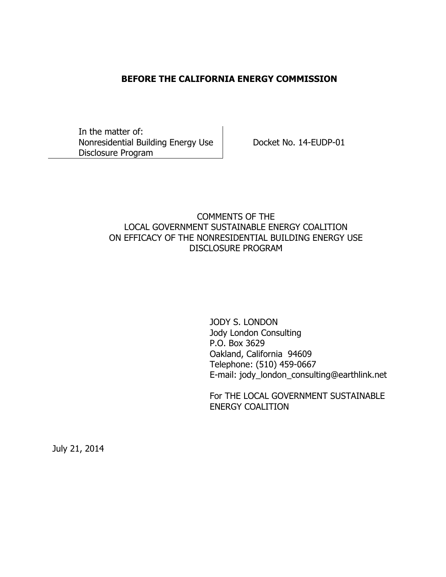#### **BEFORE THE CALIFORNIA ENERGY COMMISSION**

In the matter of: Nonresidential Building Energy Use Disclosure Program

Docket No. 14-EUDP-01

### COMMENTS OF THE LOCAL GOVERNMENT SUSTAINABLE ENERGY COALITION ON EFFICACY OF THE NONRESIDENTIAL BUILDING ENERGY USE DISCLOSURE PROGRAM

JODY S. LONDON Jody London Consulting P.O. Box 3629 Oakland, California 94609 Telephone: (510) 459-0667 E-mail: jody\_london\_consulting@earthlink.net

For THE LOCAL GOVERNMENT SUSTAINABLE ENERGY COALITION

July 21, 2014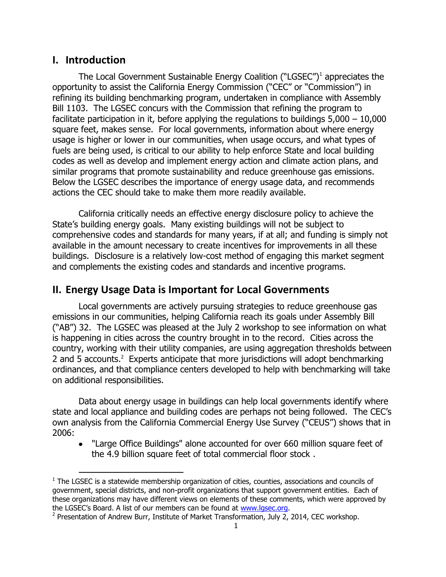## **I. Introduction**

 $\overline{a}$ 

The Local Government Sustainable Energy Coalition ("LGSEC")<sup>1</sup> appreciates the opportunity to assist the California Energy Commission ("CEC" or "Commission") in refining its building benchmarking program, undertaken in compliance with Assembly Bill 1103. The LGSEC concurs with the Commission that refining the program to facilitate participation in it, before applying the regulations to buildings  $5,000 - 10,000$ square feet, makes sense. For local governments, information about where energy usage is higher or lower in our communities, when usage occurs, and what types of fuels are being used, is critical to our ability to help enforce State and local building codes as well as develop and implement energy action and climate action plans, and similar programs that promote sustainability and reduce greenhouse gas emissions. Below the LGSEC describes the importance of energy usage data, and recommends actions the CEC should take to make them more readily available.

California critically needs an effective energy disclosure policy to achieve the State's building energy goals. Many existing buildings will not be subject to comprehensive codes and standards for many years, if at all; and funding is simply not available in the amount necessary to create incentives for improvements in all these buildings. Disclosure is a relatively low-cost method of engaging this market segment and complements the existing codes and standards and incentive programs.

## **II. Energy Usage Data is Important for Local Governments**

Local governments are actively pursuing strategies to reduce greenhouse gas emissions in our communities, helping California reach its goals under Assembly Bill ("AB") 32. The LGSEC was pleased at the July 2 workshop to see information on what is happening in cities across the country brought in to the record. Cities across the country, working with their utility companies, are using aggregation thresholds between 2 and 5 accounts.<sup>2</sup> Experts anticipate that more jurisdictions will adopt benchmarking ordinances, and that compliance centers developed to help with benchmarking will take on additional responsibilities.

Data about energy usage in buildings can help local governments identify where state and local appliance and building codes are perhaps not being followed. The CEC's own analysis from the California Commercial Energy Use Survey ("CEUS") shows that in 2006:

• "Large Office Buildings" alone accounted for over 660 million square feet of the 4.9 billion square feet of total commercial floor stock .

 $<sup>1</sup>$  The LGSEC is a statewide membership organization of cities, counties, associations and councils of</sup> government, special districts, and non-profit organizations that support government entities. Each of these organizations may have different views on elements of these comments, which were approved by the LGSEC's Board. A list of our members can be found at [www.lgsec.org.](http://www.lgsec.org/)

<sup>&</sup>lt;sup>2</sup> Presentation of Andrew Burr, Institute of Market Transformation, July 2, 2014, CEC workshop.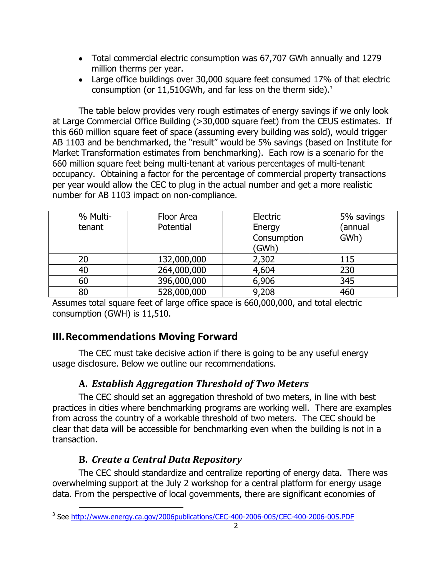- Total commercial electric consumption was 67,707 GWh annually and 1279 million therms per year.
- Large office buildings over 30,000 square feet consumed 17% of that electric consumption (or  $11,510$ GWh, and far less on the therm side).<sup>3</sup>

The table below provides very rough estimates of energy savings if we only look at Large Commercial Office Building (>30,000 square feet) from the CEUS estimates. If this 660 million square feet of space (assuming every building was sold), would trigger AB 1103 and be benchmarked, the "result" would be 5% savings (based on Institute for Market Transformation estimates from benchmarking). Each row is a scenario for the 660 million square feet being multi-tenant at various percentages of multi-tenant occupancy. Obtaining a factor for the percentage of commercial property transactions per year would allow the CEC to plug in the actual number and get a more realistic number for AB 1103 impact on non-compliance.

| % Multi- | Floor Area  | Electric    | 5% savings |
|----------|-------------|-------------|------------|
| tenant   | Potential   | Energy      | (annual    |
|          |             | Consumption | GWh)       |
|          |             | (GWh)       |            |
| 20       | 132,000,000 | 2,302       | 115        |
| 40       | 264,000,000 | 4,604       | 230        |
| 60       | 396,000,000 | 6,906       | 345        |
| 80       | 528,000,000 | 9,208       | 460        |

Assumes total square feet of large office space is 660,000,000, and total electric consumption (GWH) is 11,510.

# **III.Recommendations Moving Forward**

The CEC must take decisive action if there is going to be any useful energy usage disclosure. Below we outline our recommendations.

# **A.** *Establish Aggregation Threshold of Two Meters*

The CEC should set an aggregation threshold of two meters, in line with best practices in cities where benchmarking programs are working well. There are examples from across the country of a workable threshold of two meters. The CEC should be clear that data will be accessible for benchmarking even when the building is not in a transaction.

# **B.** *Create a Central Data Repository*

The CEC should standardize and centralize reporting of energy data. There was overwhelming support at the July 2 workshop for a central platform for energy usage data. From the perspective of local governments, there are significant economies of

 $\overline{a}$ <sup>3</sup> See <http://www.energy.ca.gov/2006publications/CEC-400-2006-005/CEC-400-2006-005.PDF>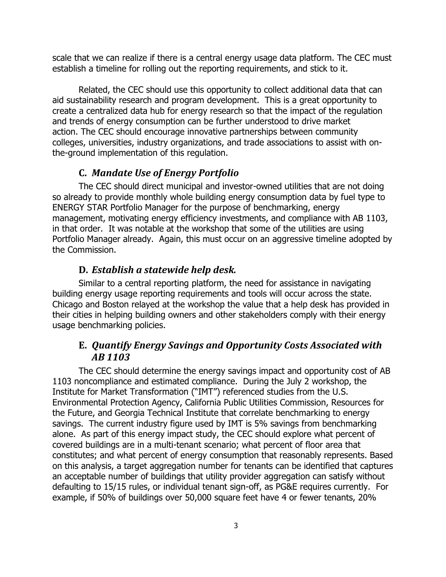scale that we can realize if there is a central energy usage data platform. The CEC must establish a timeline for rolling out the reporting requirements, and stick to it.

Related, the CEC should use this opportunity to collect additional data that can aid sustainability research and program development. This is a great opportunity to create a centralized data hub for energy research so that the impact of the regulation and trends of energy consumption can be further understood to drive market action. The CEC should encourage innovative partnerships between community colleges, universities, industry organizations, and trade associations to assist with onthe-ground implementation of this regulation.

#### **C.** *Mandate Use of Energy Portfolio*

The CEC should direct municipal and investor-owned utilities that are not doing so already to provide monthly whole building energy consumption data by fuel type to ENERGY STAR Portfolio Manager for the purpose of benchmarking, energy management, motivating energy efficiency investments, and compliance with AB 1103, in that order. It was notable at the workshop that some of the utilities are using Portfolio Manager already. Again, this must occur on an aggressive timeline adopted by the Commission.

#### **D.** *Establish a statewide help desk.*

Similar to a central reporting platform, the need for assistance in navigating building energy usage reporting requirements and tools will occur across the state. Chicago and Boston relayed at the workshop the value that a help desk has provided in their cities in helping building owners and other stakeholders comply with their energy usage benchmarking policies.

### **E.** *Quantify Energy Savings and Opportunity Costs Associated with AB 1103*

The CEC should determine the energy savings impact and opportunity cost of AB 1103 noncompliance and estimated compliance. During the July 2 workshop, the Institute for Market Transformation ("IMT") referenced studies from the U.S. Environmental Protection Agency, California Public Utilities Commission, Resources for the Future, and Georgia Technical Institute that correlate benchmarking to energy savings. The current industry figure used by IMT is 5% savings from benchmarking alone. As part of this energy impact study, the CEC should explore what percent of covered buildings are in a multi-tenant scenario; what percent of floor area that constitutes; and what percent of energy consumption that reasonably represents. Based on this analysis, a target aggregation number for tenants can be identified that captures an acceptable number of buildings that utility provider aggregation can satisfy without defaulting to 15/15 rules, or individual tenant sign-off, as PG&E requires currently. For example, if 50% of buildings over 50,000 square feet have 4 or fewer tenants, 20%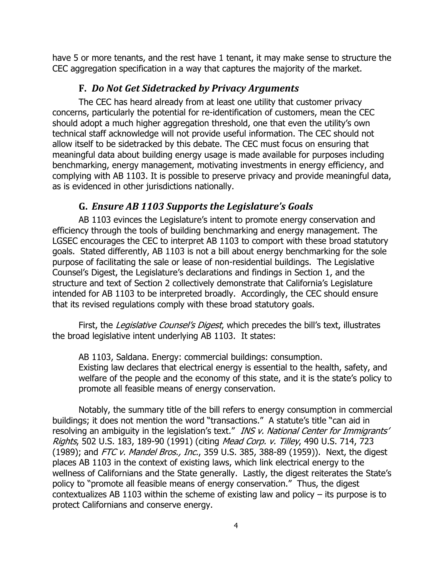have 5 or more tenants, and the rest have 1 tenant, it may make sense to structure the CEC aggregation specification in a way that captures the majority of the market.

#### **F.** *Do Not Get Sidetracked by Privacy Arguments*

The CEC has heard already from at least one utility that customer privacy concerns, particularly the potential for re-identification of customers, mean the CEC should adopt a much higher aggregation threshold, one that even the utility's own technical staff acknowledge will not provide useful information. The CEC should not allow itself to be sidetracked by this debate. The CEC must focus on ensuring that meaningful data about building energy usage is made available for purposes including benchmarking, energy management, motivating investments in energy efficiency, and complying with AB 1103. It is possible to preserve privacy and provide meaningful data, as is evidenced in other jurisdictions nationally.

#### **G.** *Ensure AB 1103 Supports the Legislature's Goals*

AB 1103 evinces the Legislature's intent to promote energy conservation and efficiency through the tools of building benchmarking and energy management. The LGSEC encourages the CEC to interpret AB 1103 to comport with these broad statutory goals. Stated differently, AB 1103 is not a bill about energy benchmarking for the sole purpose of facilitating the sale or lease of non-residential buildings. The Legislative Counsel's Digest, the Legislature's declarations and findings in Section 1, and the structure and text of Section 2 collectively demonstrate that California's Legislature intended for AB 1103 to be interpreted broadly. Accordingly, the CEC should ensure that its revised regulations comply with these broad statutory goals.

First, the Legislative Counsel's Digest, which precedes the bill's text, illustrates the broad legislative intent underlying AB 1103. It states:

AB 1103, Saldana. Energy: commercial buildings: consumption. Existing law declares that electrical energy is essential to the health, safety, and welfare of the people and the economy of this state, and it is the state's policy to promote all feasible means of energy conservation.

Notably, the summary title of the bill refers to energy consumption in commercial buildings; it does not mention the word "transactions." A statute's title "can aid in resolving an ambiguity in the legislation's text." INS v. National Center for Immigrants' Rights, 502 U.S. 183, 189-90 (1991) (citing Mead Corp. v. Tilley, 490 U.S. 714, 723 (1989); and FTC v. Mandel Bros., Inc., 359 U.S. 385, 388-89 (1959)). Next, the digest places AB 1103 in the context of existing laws, which link electrical energy to the wellness of Californians and the State generally. Lastly, the digest reiterates the State's policy to "promote all feasible means of energy conservation." Thus, the digest contextualizes AB 1103 within the scheme of existing law and policy  $-$  its purpose is to protect Californians and conserve energy.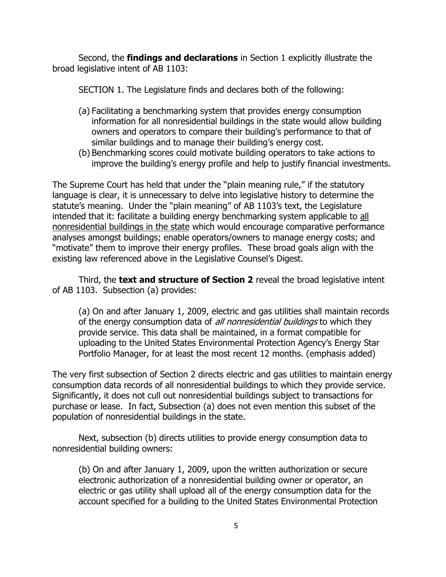Second, the **findings and declarations** in Section 1 explicitly illustrate the broad legislative intent of AB 1103:

SECTION 1. The Legislature finds and declares both of the following:

- (a) Facilitating a benchmarking system that provides energy consumption information for all nonresidential buildings in the state would allow building owners and operators to compare their building's performance to that of similar buildings and to manage their building's energy cost.
- (b) Benchmarking scores could motivate building operators to take actions to improve the building's energy profile and help to justify financial investments.

The Supreme Court has held that under the "plain meaning rule," if the statutory language is clear, it is unnecessary to delve into legislative history to determine the statute's meaning. Under the "plain meaning" of AB 1103's text, the Legislature intended that it: facilitate a building energy benchmarking system applicable to all nonresidential buildings in the state which would encourage comparative performance analyses amongst buildings; enable operators/owners to manage energy costs; and "motivate" them to improve their energy profiles. These broad goals align with the existing law referenced above in the Legislative Counsel's Digest.

Third, the **text and structure of Section 2** reveal the broad legislative intent of AB 1103. Subsection (a) provides:

(a) On and after January 1, 2009, electric and gas utilities shall maintain records of the energy consumption data of *all nonresidential buildings* to which they provide service. This data shall be maintained, in a format compatible for uploading to the United States Environmental Protection Agency's Energy Star Portfolio Manager, for at least the most recent 12 months. (emphasis added)

The very first subsection of Section 2 directs electric and gas utilities to maintain energy consumption data records of all nonresidential buildings to which they provide service. Significantly, it does not cull out nonresidential buildings subject to transactions for purchase or lease. In fact, Subsection (a) does not even mention this subset of the population of nonresidential buildings in the state.

Next, subsection (b) directs utilities to provide energy consumption data to nonresidential building owners:

(b) On and after January 1, 2009, upon the written authorization or secure electronic authorization of a nonresidential building owner or operator, an electric or gas utility shall upload all of the energy consumption data for the account specified for a building to the United States Environmental Protection